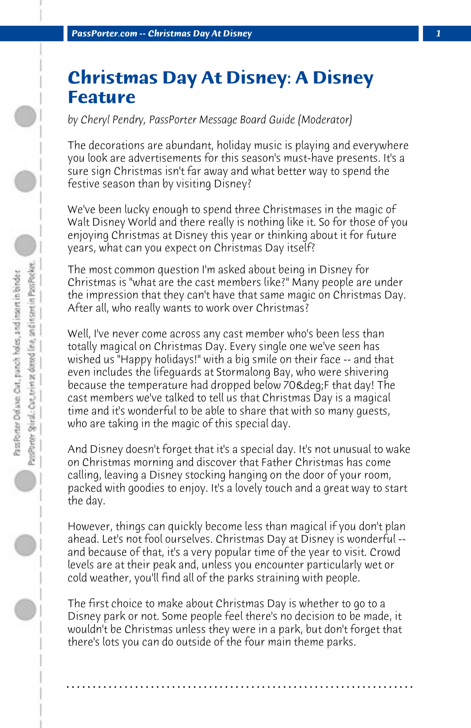## **Christmas Day At Disney: A Disney Feature**

*by Cheryl Pendry, PassPorter Message Board Guide (Moderator)*

The decorations are abundant, holiday music is playing and everywhere you look are advertisements for this season's must-have presents. It's a sure sign Christmas isn't far away and what better way to spend the festive season than by visiting Disney?

We've been lucky enough to spend three Christmases in the magic of Walt Disney World and there really is nothing like it. So for those of you enjoying Christmas at Disney this year or thinking about it for future years, what can you expect on Christmas Day itself?

The most common question I'm asked about being in Disney for Christmas is "what are the cast members like?" Many people are under the impression that they can't have that same magic on Christmas Day. After all, who really wants to work over Christmas?

Well, I've never come across any cast member who's been less than totally magical on Christmas Day. Every single one we've seen has wished us "Happy holidays!" with a big smile on their face -- and that even includes the lifeguards at Stormalong Bay, who were shivering because the temperature had dropped below 70&deq;F that day! The cast members we've talked to tell us that Christmas Day is a magical time and it's wonderful to be able to share that with so many guests, who are taking in the magic of this special day.

And Disney doesn't forget that it's a special day. It's not unusual to wake on Christmas morning and discover that Father Christmas has come calling, leaving a Disney stocking hanging on the door of your room, packed with goodies to enjoy. It's a lovely touch and a great way to start the day.

However, things can quickly become less than magical if you don't plan ahead. Let's not fool ourselves. Christmas Day at Disney is wonderful - and because of that, it's a very popular time of the year to visit. Crowd levels are at their peak and, unless you encounter particularly wet or cold weather, you'll find all of the parks straining with people.

The first choice to make about Christmas Day is whether to go to a Disney park or not. Some people feel there's no decision to be made, it wouldn't be Christmas unless they were in a park, but don't forget that there's lots you can do outside of the four main theme parks.

**. . . . . . . . . . . . . . . . . . . . . . . . . . . . . . . . . . . . . . . . . . . . . . . . . . . . . . . . . . . . . . . . . .**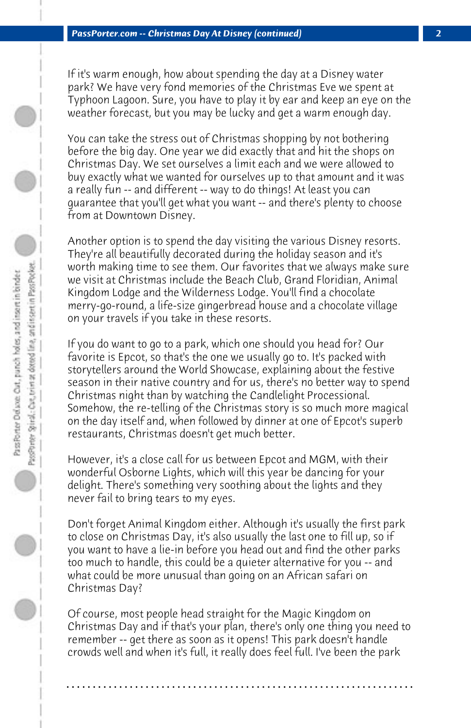If it's warm enough, how about spending the day at a Disney water park? We have very fond memories of the Christmas Eve we spent at Typhoon Lagoon. Sure, you have to play it by ear and keep an eye on the weather forecast, but you may be lucky and get a warm enough day.

You can take the stress out of Christmas shopping by not bothering before the big day. One year we did exactly that and hit the shops on Christmas Day. We set ourselves a limit each and we were allowed to buy exactly what we wanted for ourselves up to that amount and it was a really fun -- and different -- way to do things! At least you can guarantee that you'll get what you want -- and there's plenty to choose from at Downtown Disney.

Another option is to spend the day visiting the various Disney resorts. They're all beautifully decorated during the holiday season and it's worth making time to see them. Our favorites that we always make sure we visit at Christmas include the Beach Club, Grand Floridian, Animal Kingdom Lodge and the Wilderness Lodge. You'll find a chocolate merry-go-round, a life-size gingerbread house and a chocolate village on your travels if you take in these resorts.

If you do want to go to a park, which one should you head for? Our favorite is Epcot, so that's the one we usually go to. It's packed with storytellers around the World Showcase, explaining about the festive season in their native country and for us, there's no better way to spend Christmas night than by watching the Candlelight Processional. Somehow, the re-telling of the Christmas story is so much more magical on the day itself and, when followed by dinner at one of Epcot's superb restaurants, Christmas doesn't get much better.

However, it's a close call for us between Epcot and MGM, with their wonderful Osborne Lights, which will this year be dancing for your delight. There's something very soothing about the lights and they never fail to bring tears to my eyes.

Don't forget Animal Kingdom either. Although it's usually the first park to close on Christmas Day, it's also usually the last one to fill up, so if you want to have a lie-in before you head out and find the other parks too much to handle, this could be a quieter alternative for you -- and what could be more unusual than going on an African safari on Christmas Day?

Of course, most people head straight for the Magic Kingdom on Christmas Day and if that's your plan, there's only one thing you need to remember -- get there as soon as it opens! This park doesn't handle crowds well and when it's full, it really does feel full. I've been the park

**. . . . . . . . . . . . . . . . . . . . . . . . . . . . . . . . . . . . . . . . . . . . . . . . . . . . . . . . . . . . . . . . . .**